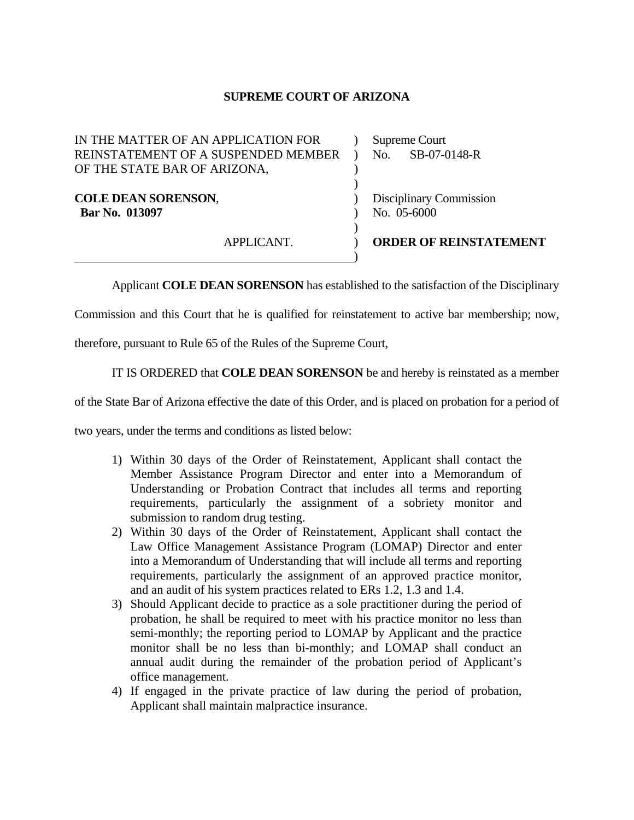## **SUPREME COURT OF ARIZONA**

| APPLICANT.                                                                                                 | <b>ORDER OF REINSTATEMENT</b>          |
|------------------------------------------------------------------------------------------------------------|----------------------------------------|
| <b>COLE DEAN SORENSON,</b><br>Bar No. 013097                                                               | Disciplinary Commission<br>No. 05-6000 |
| IN THE MATTER OF AN APPLICATION FOR<br>REINSTATEMENT OF A SUSPENDED MEMBER<br>OF THE STATE BAR OF ARIZONA, | Supreme Court<br>SB-07-0148-R<br>No.   |

Applicant **COLE DEAN SORENSON** has established to the satisfaction of the Disciplinary

Commission and this Court that he is qualified for reinstatement to active bar membership; now,

therefore, pursuant to Rule 65 of the Rules of the Supreme Court,

IT IS ORDERED that **COLE DEAN SORENSON** be and hereby is reinstated as a member

of the State Bar of Arizona effective the date of this Order, and is placed on probation for a period of

two years, under the terms and conditions as listed below:

- 1) Within 30 days of the Order of Reinstatement, Applicant shall contact the Member Assistance Program Director and enter into a Memorandum of Understanding or Probation Contract that includes all terms and reporting requirements, particularly the assignment of a sobriety monitor and submission to random drug testing.
- 2) Within 30 days of the Order of Reinstatement, Applicant shall contact the Law Office Management Assistance Program (LOMAP) Director and enter into a Memorandum of Understanding that will include all terms and reporting requirements, particularly the assignment of an approved practice monitor, and an audit of his system practices related to ERs 1.2, 1.3 and 1.4.
- 3) Should Applicant decide to practice as a sole practitioner during the period of probation, he shall be required to meet with his practice monitor no less than semi-monthly; the reporting period to LOMAP by Applicant and the practice monitor shall be no less than bi-monthly; and LOMAP shall conduct an annual audit during the remainder of the probation period of Applicant's office management.
- 4) If engaged in the private practice of law during the period of probation, Applicant shall maintain malpractice insurance.